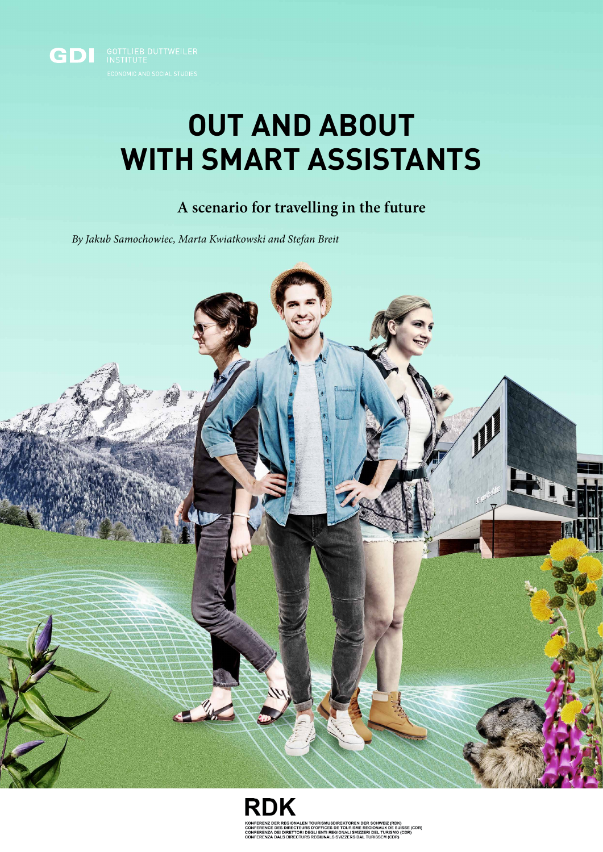

## **OUT AND ABOUT WITH SMART ASSISTANTS**

## **A scenario for travelling in the future**

*By Jakub Samochowiec, Marta Kwiatkowski and Stefan Breit*



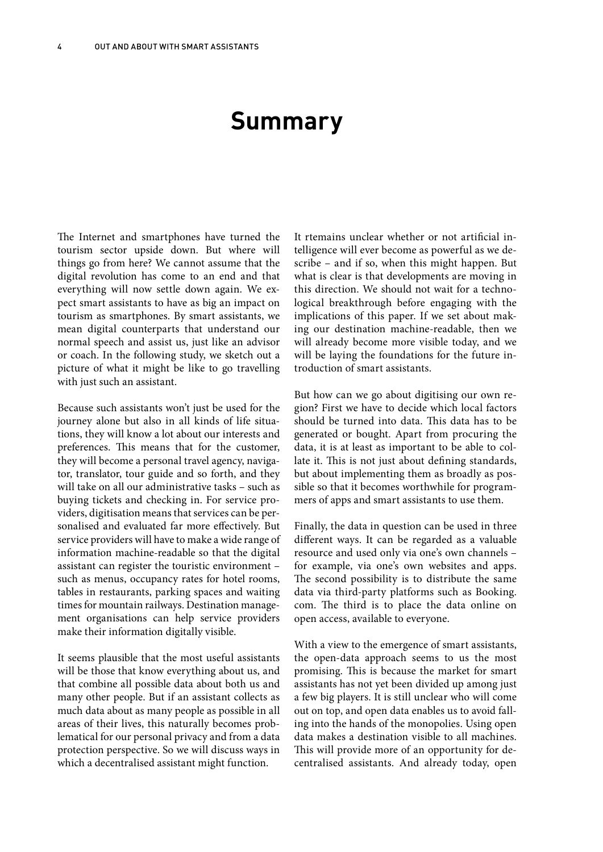## **Summary**

The Internet and smartphones have turned the tourism sector upside down. But where will things go from here? We cannot assume that the digital revolution has come to an end and that everything will now settle down again. We expect smart assistants to have as big an impact on tourism as smartphones. By smart assistants, we mean digital counterparts that understand our normal speech and assist us, just like an advisor or coach. In the following study, we sketch out a picture of what it might be like to go travelling with just such an assistant.

Because such assistants won't just be used for the journey alone but also in all kinds of life situations, they will know a lot about our interests and preferences. This means that for the customer, they will become a personal travel agency, navigator, translator, tour guide and so forth, and they will take on all our administrative tasks – such as buying tickets and checking in. For service providers, digitisation means that services can be personalised and evaluated far more effectively. But service providers will have to make a wide range of information machine-readable so that the digital assistant can register the touristic environment – such as menus, occupancy rates for hotel rooms, tables in restaurants, parking spaces and waiting times for mountain railways. Destination management organisations can help service providers make their information digitally visible.

It seems plausible that the most useful assistants will be those that know everything about us, and that combine all possible data about both us and many other people. But if an assistant collects as much data about as many people as possible in all areas of their lives, this naturally becomes problematical for our personal privacy and from a data protection perspective. So we will discuss ways in which a decentralised assistant might function.

It rtemains unclear whether or not artificial intelligence will ever become as powerful as we describe – and if so, when this might happen. But what is clear is that developments are moving in this direction. We should not wait for a technological breakthrough before engaging with the implications of this paper. If we set about making our destination machine-readable, then we will already become more visible today, and we will be laying the foundations for the future introduction of smart assistants.

But how can we go about digitising our own region? First we have to decide which local factors should be turned into data. This data has to be generated or bought. Apart from procuring the data, it is at least as important to be able to collate it. This is not just about defining standards, but about implementing them as broadly as possible so that it becomes worthwhile for programmers of apps and smart assistants to use them.

Finally, the data in question can be used in three different ways. It can be regarded as a valuable resource and used only via one's own channels – for example, via one's own websites and apps. The second possibility is to distribute the same data via third-party platforms such as Booking. com. The third is to place the data online on open access, available to everyone.

With a view to the emergence of smart assistants, the open-data approach seems to us the most promising. This is because the market for smart assistants has not yet been divided up among just a few big players. It is still unclear who will come out on top, and open data enables us to avoid falling into the hands of the monopolies. Using open data makes a destination visible to all machines. This will provide more of an opportunity for decentralised assistants. And already today, open